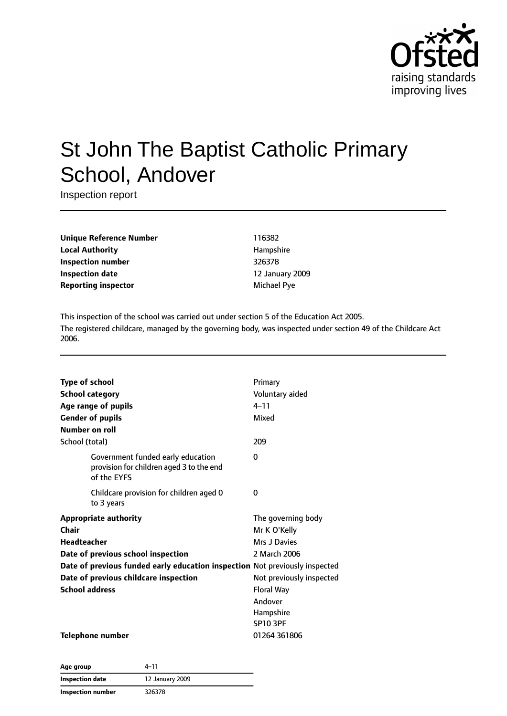

# St John The Baptist Catholic Primary School, Andover

Inspection report

**Unique Reference Number** 116382 **Local Authority Hampshire Inspection number** 326378 **Inspection date** 12 January 2009 **Reporting inspector** Michael Pye

This inspection of the school was carried out under section 5 of the Education Act 2005. The registered childcare, managed by the governing body, was inspected under section 49 of the Childcare Act 2006.

| <b>Type of school</b> |                                                                                              | Primary                  |
|-----------------------|----------------------------------------------------------------------------------------------|--------------------------|
|                       | <b>School category</b>                                                                       | Voluntary aided          |
|                       | Age range of pupils                                                                          | $4 - 11$                 |
|                       | <b>Gender of pupils</b>                                                                      | Mixed                    |
| Number on roll        |                                                                                              |                          |
| School (total)        |                                                                                              | 209                      |
|                       | Government funded early education<br>provision for children aged 3 to the end<br>of the EYFS | 0                        |
|                       | Childcare provision for children aged 0<br>to 3 years                                        | 0                        |
|                       | <b>Appropriate authority</b>                                                                 | The governing body       |
| Chair                 |                                                                                              | Mr K O'Kelly             |
| <b>Headteacher</b>    |                                                                                              | Mrs J Davies             |
|                       | Date of previous school inspection                                                           | 2 March 2006             |
|                       | Date of previous funded early education inspection Not previously inspected                  |                          |
|                       | Date of previous childcare inspection                                                        | Not previously inspected |
| <b>School address</b> |                                                                                              | <b>Floral Way</b>        |
|                       |                                                                                              | Andover                  |
|                       |                                                                                              | Hampshire                |
|                       |                                                                                              | <b>SP10 3PF</b>          |
|                       | <b>Telephone number</b>                                                                      | 01264 361806             |

| Age group                | 4-11<br>12 January 2009 |  |
|--------------------------|-------------------------|--|
| Inspection date          |                         |  |
| <b>Inspection number</b> | 326378                  |  |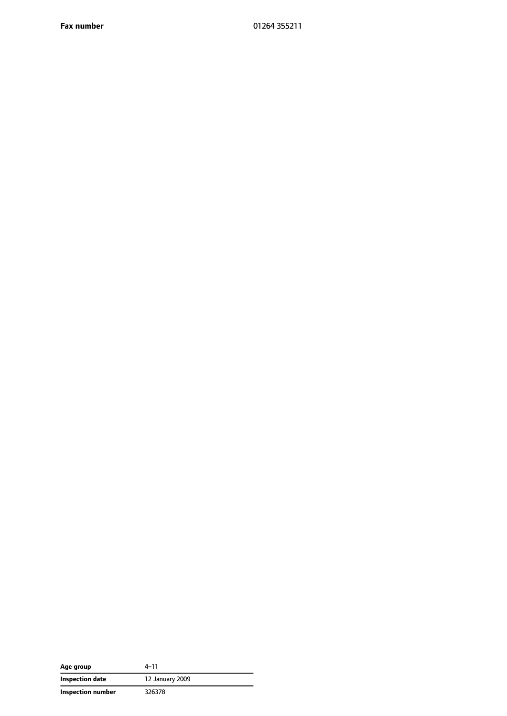**Fax number** 01264 355211

| Age group         | 4–11            |
|-------------------|-----------------|
| Inspection date   | 12 January 2009 |
| Inspection number | 326378          |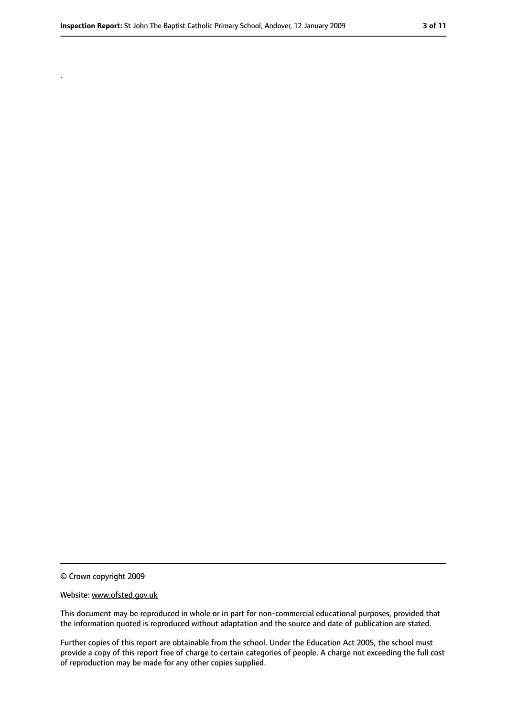.

#### Website: www.ofsted.gov.uk

This document may be reproduced in whole or in part for non-commercial educational purposes, provided that the information quoted is reproduced without adaptation and the source and date of publication are stated.

Further copies of this report are obtainable from the school. Under the Education Act 2005, the school must provide a copy of this report free of charge to certain categories of people. A charge not exceeding the full cost of reproduction may be made for any other copies supplied.

<sup>©</sup> Crown copyright 2009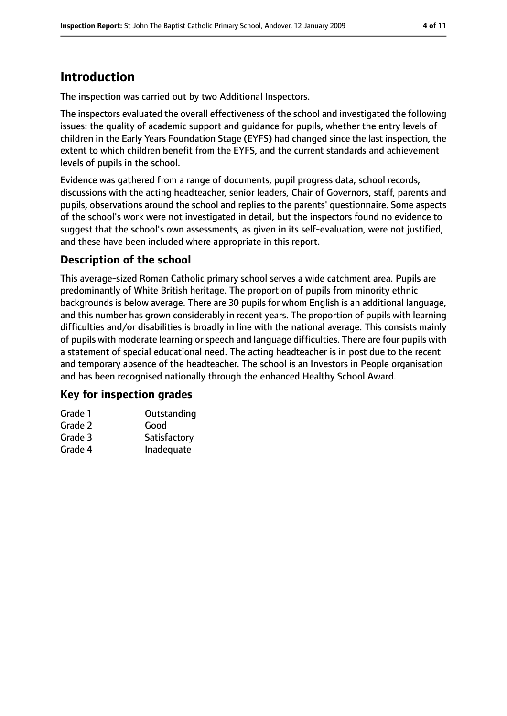# **Introduction**

The inspection was carried out by two Additional Inspectors.

The inspectors evaluated the overall effectiveness of the school and investigated the following issues: the quality of academic support and guidance for pupils, whether the entry levels of children in the Early Years Foundation Stage (EYFS) had changed since the last inspection, the extent to which children benefit from the EYFS, and the current standards and achievement levels of pupils in the school.

Evidence was gathered from a range of documents, pupil progress data, school records, discussions with the acting headteacher, senior leaders, Chair of Governors, staff, parents and pupils, observations around the school and replies to the parents' questionnaire. Some aspects of the school's work were not investigated in detail, but the inspectors found no evidence to suggest that the school's own assessments, as given in its self-evaluation, were not justified, and these have been included where appropriate in this report.

## **Description of the school**

This average-sized Roman Catholic primary school serves a wide catchment area. Pupils are predominantly of White British heritage. The proportion of pupils from minority ethnic backgrounds is below average. There are 30 pupils for whom English is an additional language, and this number has grown considerably in recent years. The proportion of pupils with learning difficulties and/or disabilities is broadly in line with the national average. This consists mainly of pupils with moderate learning or speech and language difficulties. There are four pupils with a statement of special educational need. The acting headteacher is in post due to the recent and temporary absence of the headteacher. The school is an Investors in People organisation and has been recognised nationally through the enhanced Healthy School Award.

### **Key for inspection grades**

| Grade 1 | Outstanding  |
|---------|--------------|
| Grade 2 | Good         |
| Grade 3 | Satisfactory |
| Grade 4 | Inadequate   |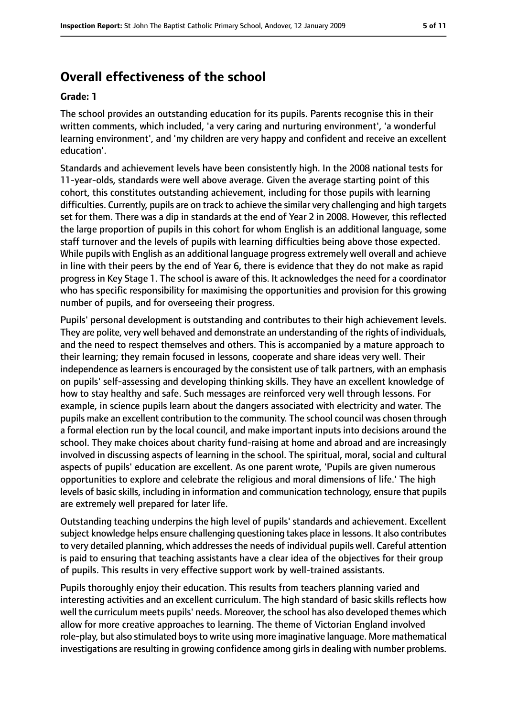# **Overall effectiveness of the school**

#### **Grade: 1**

The school provides an outstanding education for its pupils. Parents recognise this in their written comments, which included, 'a very caring and nurturing environment', 'a wonderful learning environment', and 'my children are very happy and confident and receive an excellent education'.

Standards and achievement levels have been consistently high. In the 2008 national tests for 11-year-olds, standards were well above average. Given the average starting point of this cohort, this constitutes outstanding achievement, including for those pupils with learning difficulties. Currently, pupils are on track to achieve the similar very challenging and high targets set for them. There was a dip in standards at the end of Year 2 in 2008. However, this reflected the large proportion of pupils in this cohort for whom English is an additional language, some staff turnover and the levels of pupils with learning difficulties being above those expected. While pupils with English as an additional language progress extremely well overall and achieve in line with their peers by the end of Year 6, there is evidence that they do not make as rapid progress in Key Stage 1. The school is aware of this. It acknowledges the need for a coordinator who has specific responsibility for maximising the opportunities and provision for this growing number of pupils, and for overseeing their progress.

Pupils' personal development is outstanding and contributes to their high achievement levels. They are polite, very well behaved and demonstrate an understanding of the rights of individuals, and the need to respect themselves and others. This is accompanied by a mature approach to their learning; they remain focused in lessons, cooperate and share ideas very well. Their independence aslearnersis encouraged by the consistent use of talk partners, with an emphasis on pupils' self-assessing and developing thinking skills. They have an excellent knowledge of how to stay healthy and safe. Such messages are reinforced very well through lessons. For example, in science pupils learn about the dangers associated with electricity and water. The pupils make an excellent contribution to the community. The school council was chosen through a formal election run by the local council, and make important inputs into decisions around the school. They make choices about charity fund-raising at home and abroad and are increasingly involved in discussing aspects of learning in the school. The spiritual, moral, social and cultural aspects of pupils' education are excellent. As one parent wrote, 'Pupils are given numerous opportunities to explore and celebrate the religious and moral dimensions of life.' The high levels of basic skills, including in information and communication technology, ensure that pupils are extremely well prepared for later life.

Outstanding teaching underpins the high level of pupils' standards and achievement. Excellent subject knowledge helps ensure challenging questioning takes place in lessons. It also contributes to very detailed planning, which addressesthe needs of individual pupils well. Careful attention is paid to ensuring that teaching assistants have a clear idea of the objectives for their group of pupils. This results in very effective support work by well-trained assistants.

Pupils thoroughly enjoy their education. This results from teachers planning varied and interesting activities and an excellent curriculum. The high standard of basic skills reflects how well the curriculum meets pupils' needs. Moreover, the school has also developed themes which allow for more creative approaches to learning. The theme of Victorian England involved role-play, but also stimulated boys to write using more imaginative language. More mathematical investigations are resulting in growing confidence among girls in dealing with number problems.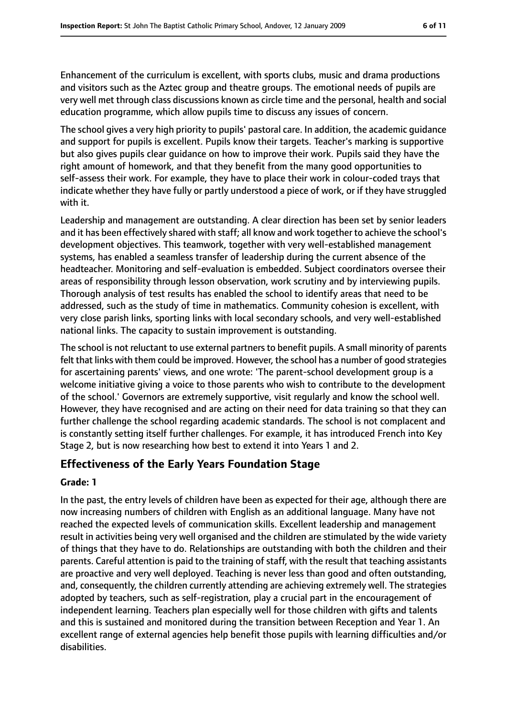Enhancement of the curriculum is excellent, with sports clubs, music and drama productions and visitors such as the Aztec group and theatre groups. The emotional needs of pupils are very well met through class discussions known as circle time and the personal, health and social education programme, which allow pupils time to discuss any issues of concern.

The school gives a very high priority to pupils' pastoral care. In addition, the academic guidance and support for pupils is excellent. Pupils know their targets. Teacher's marking is supportive but also gives pupils clear guidance on how to improve their work. Pupils said they have the right amount of homework, and that they benefit from the many good opportunities to self-assess their work. For example, they have to place their work in colour-coded trays that indicate whether they have fully or partly understood a piece of work, or if they have struggled with it.

Leadership and management are outstanding. A clear direction has been set by senior leaders and it has been effectively shared with staff; all know and work together to achieve the school's development objectives. This teamwork, together with very well-established management systems, has enabled a seamless transfer of leadership during the current absence of the headteacher. Monitoring and self-evaluation is embedded. Subject coordinators oversee their areas of responsibility through lesson observation, work scrutiny and by interviewing pupils. Thorough analysis of test results has enabled the school to identify areas that need to be addressed, such as the study of time in mathematics. Community cohesion is excellent, with very close parish links, sporting links with local secondary schools, and very well-established national links. The capacity to sustain improvement is outstanding.

The school is not reluctant to use external partners to benefit pupils. A small minority of parents felt that links with them could be improved. However, the school has a number of good strategies for ascertaining parents' views, and one wrote: 'The parent-school development group is a welcome initiative giving a voice to those parents who wish to contribute to the development of the school.' Governors are extremely supportive, visit regularly and know the school well. However, they have recognised and are acting on their need for data training so that they can further challenge the school regarding academic standards. The school is not complacent and is constantly setting itself further challenges. For example, it has introduced French into Key Stage 2, but is now researching how best to extend it into Years 1 and 2.

### **Effectiveness of the Early Years Foundation Stage**

#### **Grade: 1**

In the past, the entry levels of children have been as expected for their age, although there are now increasing numbers of children with English as an additional language. Many have not reached the expected levels of communication skills. Excellent leadership and management result in activities being very well organised and the children are stimulated by the wide variety of things that they have to do. Relationships are outstanding with both the children and their parents. Careful attention is paid to the training of staff, with the result that teaching assistants are proactive and very well deployed. Teaching is never less than good and often outstanding, and, consequently, the children currently attending are achieving extremely well. The strategies adopted by teachers, such as self-registration, play a crucial part in the encouragement of independent learning. Teachers plan especially well for those children with gifts and talents and this is sustained and monitored during the transition between Reception and Year 1. An excellent range of external agencies help benefit those pupils with learning difficulties and/or disabilities.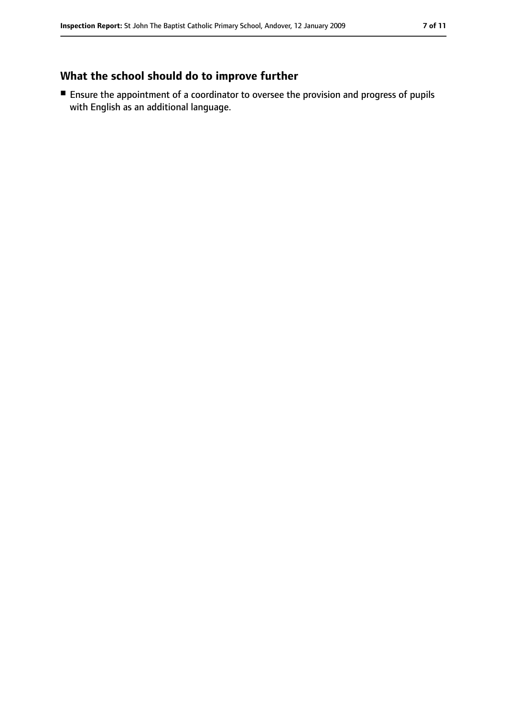## **What the school should do to improve further**

■ Ensure the appointment of a coordinator to oversee the provision and progress of pupils with English as an additional language.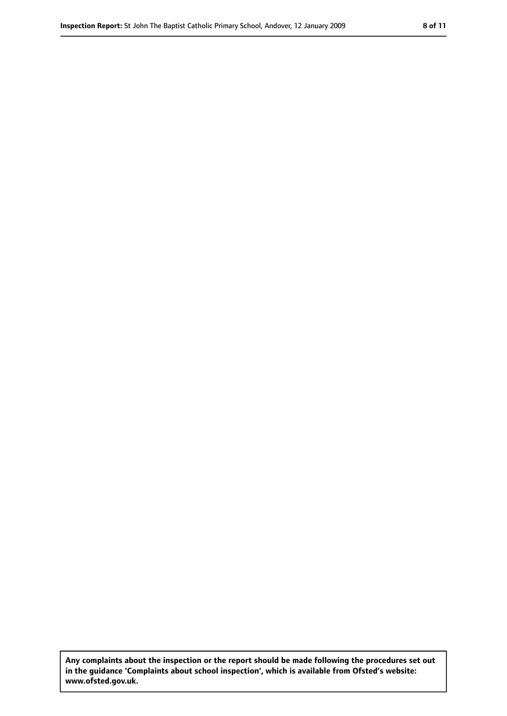**Any complaints about the inspection or the report should be made following the procedures set out in the guidance 'Complaints about school inspection', which is available from Ofsted's website: www.ofsted.gov.uk.**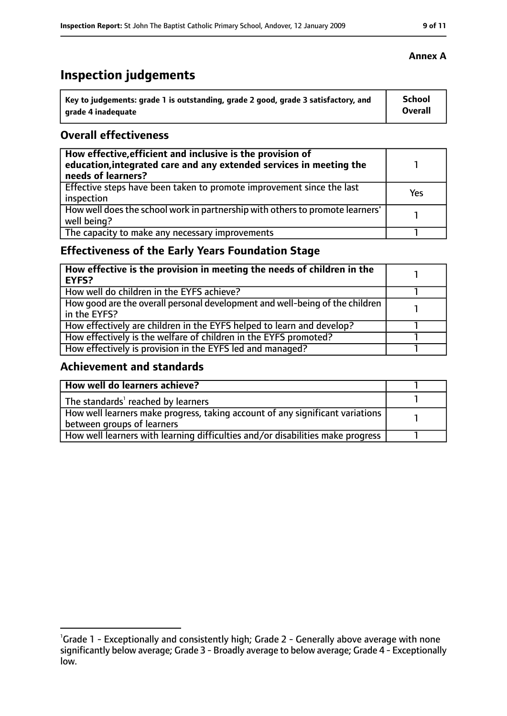# **Inspection judgements**

| Key to judgements: grade 1 is outstanding, grade 2 good, grade 3 satisfactory, and | <b>School</b>  |
|------------------------------------------------------------------------------------|----------------|
| arade 4 inadequate                                                                 | <b>Overall</b> |

#### **Overall effectiveness**

| How effective, efficient and inclusive is the provision of<br>education, integrated care and any extended services in meeting the<br>needs of learners? |     |
|---------------------------------------------------------------------------------------------------------------------------------------------------------|-----|
| Effective steps have been taken to promote improvement since the last<br>inspection                                                                     | Yes |
| How well does the school work in partnership with others to promote learners'<br>well being?                                                            |     |
| The capacity to make any necessary improvements                                                                                                         |     |

## **Effectiveness of the Early Years Foundation Stage**

| How effective is the provision in meeting the needs of children in the<br>l EYFS?            |  |
|----------------------------------------------------------------------------------------------|--|
| How well do children in the EYFS achieve?                                                    |  |
| How good are the overall personal development and well-being of the children<br>in the EYFS? |  |
| How effectively are children in the EYFS helped to learn and develop?                        |  |
| How effectively is the welfare of children in the EYFS promoted?                             |  |
| How effectively is provision in the EYFS led and managed?                                    |  |

### **Achievement and standards**

| How well do learners achieve?                                                  |  |
|--------------------------------------------------------------------------------|--|
| The standards <sup>1</sup> reached by learners                                 |  |
| How well learners make progress, taking account of any significant variations  |  |
| between groups of learners                                                     |  |
| How well learners with learning difficulties and/or disabilities make progress |  |

### **Annex A**

<sup>&</sup>lt;sup>1</sup>Grade 1 - Exceptionally and consistently high; Grade 2 - Generally above average with none significantly below average; Grade 3 - Broadly average to below average; Grade 4 - Exceptionally low.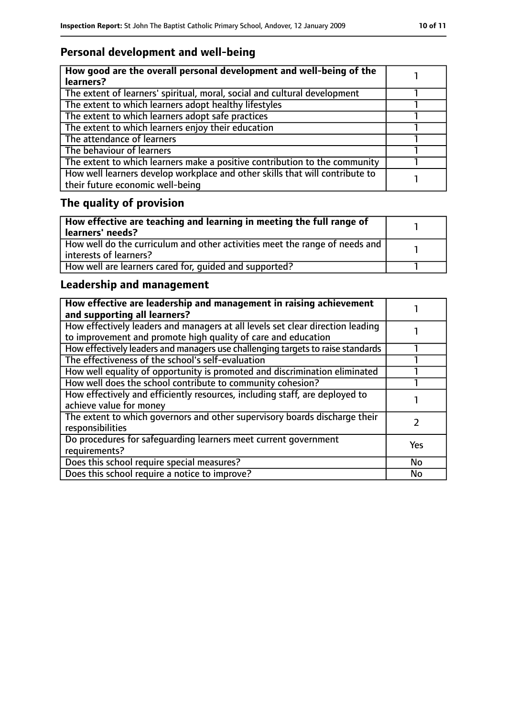## **Personal development and well-being**

| How good are the overall personal development and well-being of the<br>learners?                                 |  |
|------------------------------------------------------------------------------------------------------------------|--|
| The extent of learners' spiritual, moral, social and cultural development                                        |  |
| The extent to which learners adopt healthy lifestyles                                                            |  |
| The extent to which learners adopt safe practices                                                                |  |
| The extent to which learners enjoy their education                                                               |  |
| The attendance of learners                                                                                       |  |
| The behaviour of learners                                                                                        |  |
| The extent to which learners make a positive contribution to the community                                       |  |
| How well learners develop workplace and other skills that will contribute to<br>their future economic well-being |  |

# **The quality of provision**

| How effective are teaching and learning in meeting the full range of<br>learners' needs?              |  |
|-------------------------------------------------------------------------------------------------------|--|
| How well do the curriculum and other activities meet the range of needs and<br>interests of learners? |  |
| How well are learners cared for, quided and supported?                                                |  |

## **Leadership and management**

| How effective are leadership and management in raising achievement<br>and supporting all learners?                                              |           |
|-------------------------------------------------------------------------------------------------------------------------------------------------|-----------|
| How effectively leaders and managers at all levels set clear direction leading<br>to improvement and promote high quality of care and education |           |
| How effectively leaders and managers use challenging targets to raise standards                                                                 |           |
| The effectiveness of the school's self-evaluation                                                                                               |           |
| How well equality of opportunity is promoted and discrimination eliminated                                                                      |           |
| How well does the school contribute to community cohesion?                                                                                      |           |
| How effectively and efficiently resources, including staff, are deployed to<br>achieve value for money                                          |           |
| The extent to which governors and other supervisory boards discharge their<br>responsibilities                                                  |           |
| Do procedures for safequarding learners meet current government<br>requirements?                                                                | Yes       |
| Does this school require special measures?                                                                                                      | <b>No</b> |
| Does this school require a notice to improve?                                                                                                   | <b>No</b> |